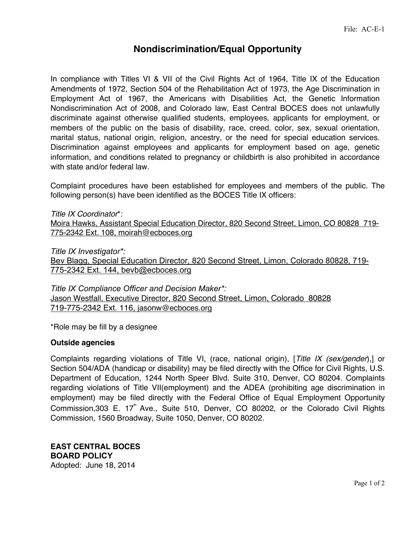## **Nondiscrimination/Equal Opportunity**

In compliance with Titles VI & VII of the Civil Rights Act of 1964, Title IX of the Education Amendments of 1972, Section 504 of the Rehabilitation Act of 1973, the Age Discrimination in Employment Act of 1967, the Americans with Disabilities Act, the Genetic Information Nondiscrimination Act of 2008, and Colorado law, East Central BOCES does not unlawfully discriminate against otherwise qualified students, employees, applicants for employment, or members of the public on the basis of disability, race, creed, color, sex, sexual orientation, marital status, national origin, religion, ancestry, or the need for special education services. Discrimination against employees and applicants for employment based on age, genetic information, and conditions related to pregnancy or childbirth is also prohibited in accordance with state and/or federal law.

Complaint procedures have been established for employees and members of the public. The following person(s) have been identified as the BOCES Title IX officers:

*Title IX Coordinator*\*:

Moira Hawks, Assistant Special Education Director, 820 Second Street, Limon, CO 80828 719- 775-2342 Ext. 108, moirah@ecboces.org

*Title IX Investigator\*:*

Bev Blagg, Special Education Director, 820 Second Street, Limon, Colorado 80828, 719- 775-2342 Ext. 144, bevb@ecboces.org

*Title IX Compliance Officer and Decision Maker\*:* Jason Westfall, Executive Director, 820 Second Street, Limon, Colorado 80828 719-775-2342 Ext. 116, jasonw@ecboces.org

\*Role may be fill by a designee

## **Outside agencies**

Complaints regarding violations of Title VI, (race, national origin), [*Title IX (sex/gender*),] or Section 504/ADA (handicap or disability) may be filed directly with the Office for Civil Rights, U.S. Department of Education, 1244 North Speer Blvd. Suite 310, Denver, CO 80204. Complaints regarding violations of Title VII(employment) and the ADEA (prohibiting age discrimination in employment) may be filed directly with the Federal Office of Equal Employment Opportunity Commission, 303 E.  $17<sup>th</sup>$  Ave., Suite 510, Denver, CO 80202, or the Colorado Civil Rights Commission, 1560 Broadway, Suite 1050, Denver, CO 80202.

**EAST CENTRAL BOCES BOARD POLICY** Adopted: June 18, 2014